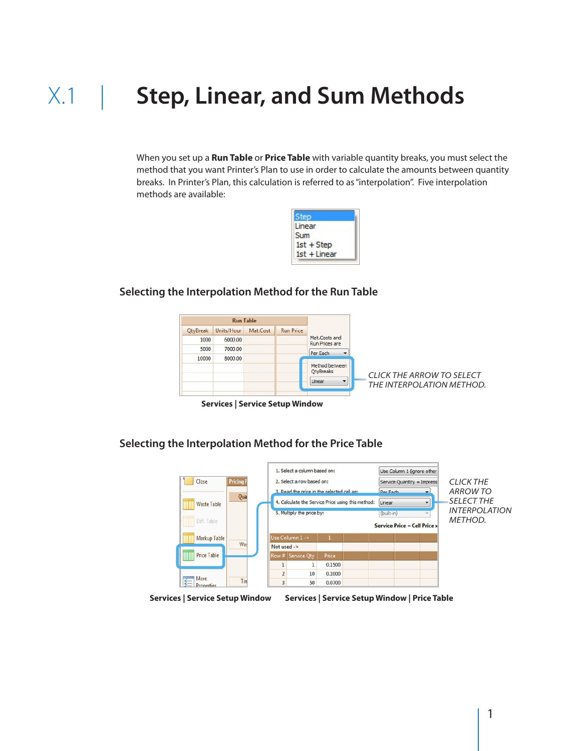# X.1 | **Step, Linear, and Sum Methods**

When you set up a **Run Table** or **Price Table** with variable quantity breaks, you must select the method that you want Printer's Plan to use in order to calculate the amounts between quantity breaks. In Printer's Plan, this calculation is referred to as "interpolation". Five interpolation methods are available:

| en             |  |
|----------------|--|
| Linear         |  |
| <b>Sum</b>     |  |
| $1st + Step$   |  |
| $1st + Linear$ |  |
|                |  |

**Selecting the Interpolation Method for the Run Table**



 **Services | Service Setup Window**

**Selecting the Interpolation Method for the Price Table** 



**Services | Service Setup Window Services | Service Setup Window | Price Table**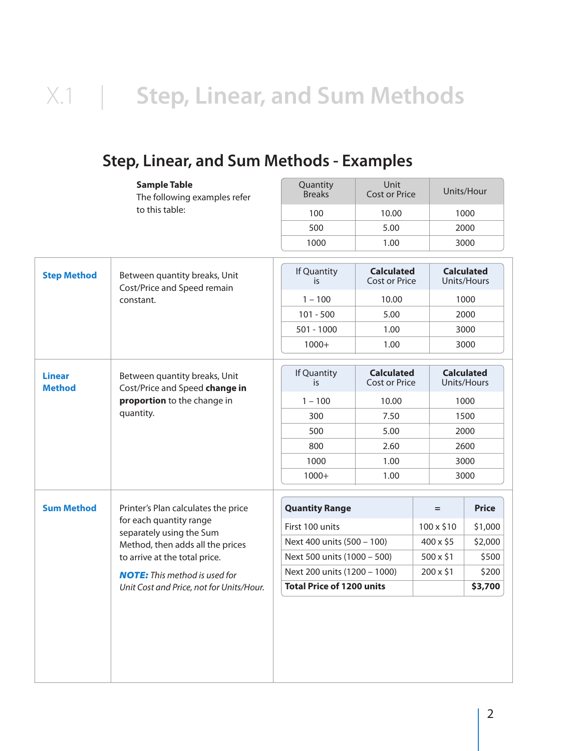## X.1 | **Step, Linear, and Sum Methods**

## **Step, Linear, and Sum Methods - Examples**

| <b>Sample Table</b><br>The following examples refer<br>to this table:                                                                                                                                                                                                    |                                                                                                | Quantity<br><b>Breaks</b> | Unit<br><b>Cost or Price</b>              | Units/Hour |                                  |  |
|--------------------------------------------------------------------------------------------------------------------------------------------------------------------------------------------------------------------------------------------------------------------------|------------------------------------------------------------------------------------------------|---------------------------|-------------------------------------------|------------|----------------------------------|--|
|                                                                                                                                                                                                                                                                          |                                                                                                | 100                       | 10.00                                     | 1000       |                                  |  |
|                                                                                                                                                                                                                                                                          |                                                                                                | 500                       | 5.00                                      |            | 2000                             |  |
|                                                                                                                                                                                                                                                                          |                                                                                                | 1000                      | 1.00                                      |            | 3000                             |  |
| <b>Step Method</b>                                                                                                                                                                                                                                                       | Between quantity breaks, Unit<br>Cost/Price and Speed remain<br>constant.                      | If Quantity<br>is         | <b>Calculated</b><br><b>Cost or Price</b> |            | <b>Calculated</b><br>Units/Hours |  |
|                                                                                                                                                                                                                                                                          |                                                                                                | $1 - 100$                 | 10.00                                     |            | 1000                             |  |
|                                                                                                                                                                                                                                                                          |                                                                                                | $101 - 500$               | 5.00                                      |            | 2000                             |  |
|                                                                                                                                                                                                                                                                          |                                                                                                | $501 - 1000$              | 1.00                                      |            | 3000                             |  |
|                                                                                                                                                                                                                                                                          |                                                                                                | $1000+$                   | 1.00                                      |            | 3000                             |  |
|                                                                                                                                                                                                                                                                          |                                                                                                |                           |                                           |            |                                  |  |
| <b>Linear</b><br><b>Method</b>                                                                                                                                                                                                                                           | Between quantity breaks, Unit<br>Cost/Price and Speed change in<br>proportion to the change in | If Quantity<br>is.        | <b>Calculated</b><br><b>Cost or Price</b> |            | <b>Calculated</b><br>Units/Hours |  |
|                                                                                                                                                                                                                                                                          |                                                                                                | $1 - 100$                 | 10.00                                     |            | 1000                             |  |
|                                                                                                                                                                                                                                                                          | quantity.                                                                                      | 300                       | 7.50                                      |            | 1500                             |  |
|                                                                                                                                                                                                                                                                          |                                                                                                | 500                       | 5.00                                      |            | 2000                             |  |
|                                                                                                                                                                                                                                                                          |                                                                                                | 800                       | 2.60                                      |            | 2600                             |  |
|                                                                                                                                                                                                                                                                          |                                                                                                | 1000                      | 1.00                                      |            | 3000                             |  |
|                                                                                                                                                                                                                                                                          |                                                                                                | $1000+$                   | 1.00                                      |            | 3000                             |  |
| <b>Sum Method</b><br>Printer's Plan calculates the price<br>for each quantity range<br>separately using the Sum<br>Method, then adds all the prices<br>to arrive at the total price.<br><b>NOTE:</b> This method is used for<br>Unit Cost and Price, not for Units/Hour. |                                                                                                | <b>Quantity Range</b>     |                                           | $=$        | <b>Price</b>                     |  |
|                                                                                                                                                                                                                                                                          |                                                                                                | First 100 units           |                                           | 100 x \$10 | \$1,000                          |  |
|                                                                                                                                                                                                                                                                          | Next 400 units (500 - 100)                                                                     |                           | 400 x \$5                                 | \$2,000    |                                  |  |
|                                                                                                                                                                                                                                                                          | Next 500 units (1000 - 500)                                                                    |                           | $500 \times $1$                           | \$500      |                                  |  |
|                                                                                                                                                                                                                                                                          | Next 200 units (1200 - 1000)                                                                   |                           | 200 x \$1                                 | \$200      |                                  |  |
|                                                                                                                                                                                                                                                                          | <b>Total Price of 1200 units</b>                                                               |                           |                                           | \$3,700    |                                  |  |
|                                                                                                                                                                                                                                                                          |                                                                                                |                           |                                           |            |                                  |  |